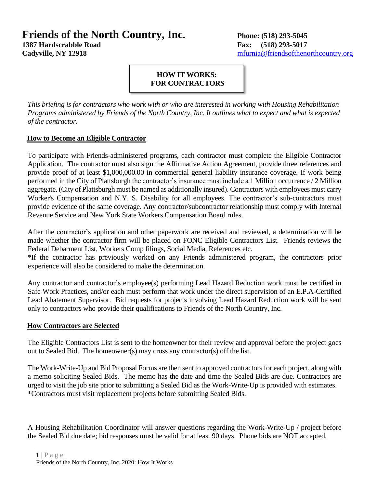# **Friends of the North Country, Inc. Phone: (518) 293-5045**

**1387 Hardscrabble Road Fax: (518) 293-5017** 

**Cadyville, NY 12918** [mfurnia@friendsofthenorthcountry.org](mailto:mfurnia@friendsofthenorthcountry.org)

#### **HOW IT WORKS: FOR CONTRACTORS**

*This briefing is for contractors who work with or who are interested in working with Housing Rehabilitation Programs administered by Friends of the North Country, Inc. It outlines what to expect and what is expected of the contractor.* 

#### **How to Become an Eligible Contractor**

To participate with Friends-administered programs, each contractor must complete the Eligible Contractor Application. The contractor must also sign the Affirmative Action Agreement, provide three references and provide proof of at least \$1,000,000.00 in commercial general liability insurance coverage. If work being performed in the City of Plattsburgh the contractor's insurance must include a 1 Million occurrence / 2 Million aggregate. (City of Plattsburgh must be named as additionally insured). Contractors with employees must carry Worker's Compensation and N.Y. S. Disability for all employees. The contractor's sub-contractors must provide evidence of the same coverage. Any contractor/subcontractor relationship must comply with Internal Revenue Service and New York State Workers Compensation Board rules.

After the contractor's application and other paperwork are received and reviewed, a determination will be made whether the contractor firm will be placed on FONC Eligible Contractors List. Friends reviews the Federal Debarment List, Workers Comp filings, Social Media, References etc.

\*If the contractor has previously worked on any Friends administered program, the contractors prior experience will also be considered to make the determination.

Any contractor and contractor's employee(s) performing Lead Hazard Reduction work must be certified in Safe Work Practices, and/or each must perform that work under the direct supervision of an E.P.A-Certified Lead Abatement Supervisor. Bid requests for projects involving Lead Hazard Reduction work will be sent only to contractors who provide their qualifications to Friends of the North Country, Inc.

#### **How Contractors are Selected**

The Eligible Contractors List is sent to the homeowner for their review and approval before the project goes out to Sealed Bid. The homeowner(s) may cross any contractor(s) off the list.

The Work-Write-Up and Bid Proposal Forms are then sent to approved contractors for each project, along with a memo soliciting Sealed Bids. The memo has the date and time the Sealed Bids are due. Contractors are urged to visit the job site prior to submitting a Sealed Bid as the Work-Write-Up is provided with estimates. \*Contractors must visit replacement projects before submitting Sealed Bids.

A Housing Rehabilitation Coordinator will answer questions regarding the Work-Write-Up / project before the Sealed Bid due date; bid responses must be valid for at least 90 days. Phone bids are NOT accepted.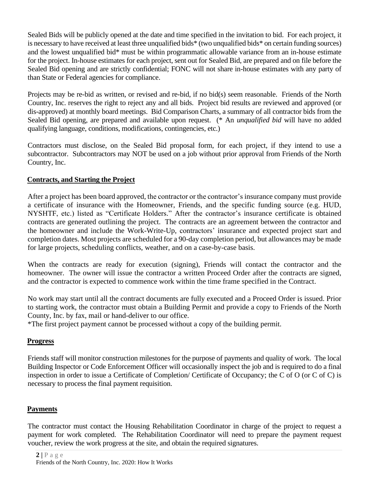Sealed Bids will be publicly opened at the date and time specified in the invitation to bid. For each project, it is necessary to have received at least three unqualified bids\* (two unqualified bids\* on certain funding sources) and the lowest unqualified bid\* must be within programmatic allowable variance from an in-house estimate for the project. In-house estimates for each project, sent out for Sealed Bid, are prepared and on file before the Sealed Bid opening and are strictly confidential; FONC will not share in-house estimates with any party of than State or Federal agencies for compliance.

Projects may be re-bid as written, or revised and re-bid, if no bid(s) seem reasonable. Friends of the North Country, Inc. reserves the right to reject any and all bids. Project bid results are reviewed and approved (or dis-approved) at monthly board meetings. Bid Comparison Charts, a summary of all contractor bids from the Sealed Bid opening, are prepared and available upon request. (\* An *unqualified bid* will have no added qualifying language, conditions, modifications, contingencies, etc.)

Contractors must disclose, on the Sealed Bid proposal form, for each project, if they intend to use a subcontractor. Subcontractors may NOT be used on a job without prior approval from Friends of the North Country, Inc.

## **Contracts, and Starting the Project**

After a project has been board approved, the contractor or the contractor's insurance company must provide a certificate of insurance with the Homeowner, Friends, and the specific funding source (e.g. HUD, NYSHTF, etc.) listed as "Certificate Holders." After the contractor's insurance certificate is obtained contracts are generated outlining the project. The contracts are an agreement between the contractor and the homeowner and include the Work-Write-Up, contractors' insurance and expected project start and completion dates. Most projects are scheduled for a 90-day completion period, but allowances may be made for large projects, scheduling conflicts, weather, and on a case-by-case basis.

When the contracts are ready for execution (signing), Friends will contact the contractor and the homeowner. The owner will issue the contractor a written Proceed Order after the contracts are signed, and the contractor is expected to commence work within the time frame specified in the Contract.

No work may start until all the contract documents are fully executed and a Proceed Order is issued. Prior to starting work, the contractor must obtain a Building Permit and provide a copy to Friends of the North County, Inc. by fax, mail or hand-deliver to our office.

\*The first project payment cannot be processed without a copy of the building permit.

## **Progress**

Friends staff will monitor construction milestones for the purpose of payments and quality of work. The local Building Inspector or Code Enforcement Officer will occasionally inspect the job and is required to do a final inspection in order to issue a Certificate of Completion/ Certificate of Occupancy; the C of O (or C of C) is necessary to process the final payment requisition.

## **Payments**

The contractor must contact the Housing Rehabilitation Coordinator in charge of the project to request a payment for work completed. The Rehabilitation Coordinator will need to prepare the payment request voucher, review the work progress at the site, and obtain the required signatures.